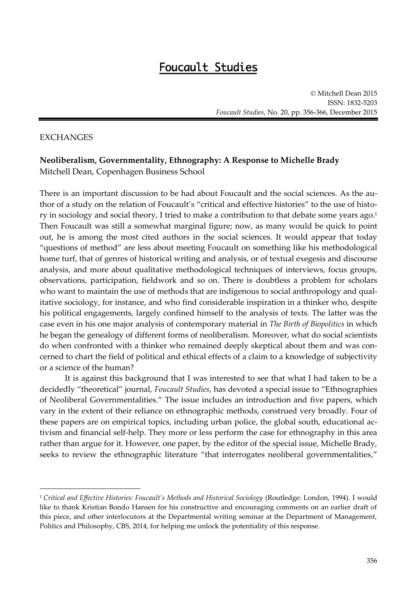## Foucault Studies

 Mitchell Dean 2015 ISSN: 1832-5203 *Foucault Studies*, No. 20, pp. 356-366, December 2015

## EXCHANGES

 $\overline{a}$ 

## **Neoliberalism, Governmentality, Ethnography: A Response to Michelle Brady**  Mitchell Dean, Copenhagen Business School

There is an important discussion to be had about Foucault and the social sciences. As the author of a study on the relation of Foucault's "critical and effective histories" to the use of history in sociology and social theory, I tried to make a contribution to that debate some years ago.<sup>1</sup> Then Foucault was still a somewhat marginal figure; now, as many would be quick to point out, he is among the most cited authors in the social sciences. It would appear that today "questions of method" are less about meeting Foucault on something like his methodological home turf, that of genres of historical writing and analysis, or of textual exegesis and discourse analysis, and more about qualitative methodological techniques of interviews, focus groups, observations, participation, fieldwork and so on. There is doubtless a problem for scholars who want to maintain the use of methods that are indigenous to social anthropology and qualitative sociology, for instance, and who find considerable inspiration in a thinker who, despite his political engagements, largely confined himself to the analysis of texts. The latter was the case even in his one major analysis of contemporary material in *The Birth of Biopolitics* in which he began the genealogy of different forms of neoliberalism. Moreover, what do social scientists do when confronted with a thinker who remained deeply skeptical about them and was concerned to chart the field of political and ethical effects of a claim to a knowledge of subjectivity or a science of the human?

It is against this background that I was interested to see that what I had taken to be a decidedly "theoretical" journal, *Foucault Studies*, has devoted a special issue to "Ethnographies of Neoliberal Governmentalities." The issue includes an introduction and five papers, which vary in the extent of their reliance on ethnographic methods, construed very broadly. Four of these papers are on empirical topics, including urban police, the global south, educational activism and financial self-help. They more or less perform the case for ethnography in this area rather than argue for it. However, one paper, by the editor of the special issue, Michelle Brady, seeks to review the ethnographic literature "that interrogates neoliberal governmentalities,"

<sup>1</sup> *Critical and Effective Histories: Foucault's Methods and Historical Sociology* (Routledge: London, 1994). I would like to thank Kristian Bondo Hansen for his constructive and encouraging comments on an earlier draft of this piece, and other interlocutors at the Departmental writing seminar at the Department of Management, Politics and Philosophy, CBS, 2014, for helping me unlock the potentiality of this response.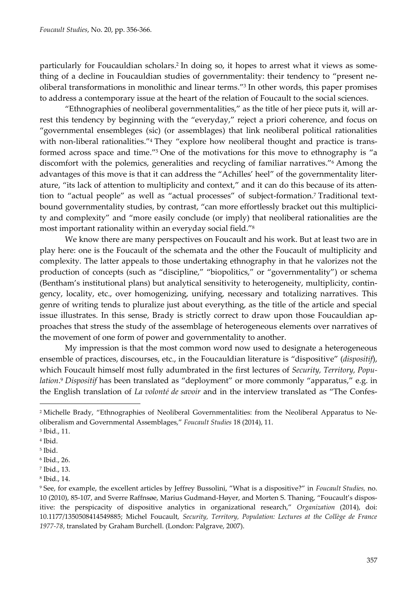particularly for Foucauldian scholars. 2 In doing so, it hopes to arrest what it views as something of a decline in Foucauldian studies of governmentality: their tendency to "present neoliberal transformations in monolithic and linear terms."<sup>3</sup> In other words, this paper promises to address a contemporary issue at the heart of the relation of Foucault to the social sciences.

"Ethnographies of neoliberal governmentalities," as the title of her piece puts it, will arrest this tendency by beginning with the "everyday," reject a priori coherence, and focus on "governmental ensembleges (sic) (or assemblages) that link neoliberal political rationalities with non-liberal rationalities."<sup>4</sup> They "explore how neoliberal thought and practice is transformed across space and time."<sup>5</sup> One of the motivations for this move to ethnography is "a discomfort with the polemics, generalities and recycling of familiar narratives."<sup>6</sup> Among the advantages of this move is that it can address the "Achilles' heel" of the governmentality literature, "its lack of attention to multiplicity and context," and it can do this because of its attention to "actual people" as well as "actual processes" of subject-formation. <sup>7</sup> Traditional textbound governmentality studies, by contrast, "can more effortlessly bracket out this multiplicity and complexity" and "more easily conclude (or imply) that neoliberal rationalities are the most important rationality within an everyday social field."<sup>8</sup>

We know there are many perspectives on Foucault and his work. But at least two are in play here: one is the Foucault of the schemata and the other the Foucault of multiplicity and complexity. The latter appeals to those undertaking ethnography in that he valorizes not the production of concepts (such as "discipline," "biopolitics," or "governmentality") or schema (Bentham's institutional plans) but analytical sensitivity to heterogeneity, multiplicity, contingency, locality, etc., over homogenizing, unifying, necessary and totalizing narratives. This genre of writing tends to pluralize just about everything, as the title of the article and special issue illustrates. In this sense, Brady is strictly correct to draw upon those Foucauldian approaches that stress the study of the assemblage of heterogeneous elements over narratives of the movement of one form of power and governmentality to another.

My impression is that the most common word now used to designate a heterogeneous ensemble of practices, discourses, etc., in the Foucauldian literature is "dispositive" (*dispositif*), which Foucault himself most fully adumbrated in the first lectures of *Security, Territory, Population*. <sup>9</sup> *Dispositif* has been translated as "deployment" or more commonly "apparatus," e.g. in the English translation of *La volonté de savoir* and in the interview translated as "The Confes-

<sup>2</sup> Michelle Brady, "Ethnographies of Neoliberal Governmentalities: from the Neoliberal Apparatus to Neoliberalism and Governmental Assemblages," *Foucault Studies* 18 (2014), 11.

<sup>3</sup> Ibid., 11.

<sup>4</sup> Ibid.

<sup>5</sup> Ibid.

<sup>6</sup> Ibid., 26.

<sup>7</sup> Ibid., 13.

<sup>8</sup> Ibid., 14.

<sup>9</sup> See, for example, the excellent articles by Jeffrey Bussolini, "What is a dispositive?" in *Foucault Studies,* no. 10 (2010), 85-107, and Sverre Raffnsøe, Marius Gudmand-Høyer, and Morten S. Thaning, "Foucault's dispositive: the perspicacity of dispositive analytics in organizational research," *Organization* (2014), doi: 10.1177/1350508414549885; Michel Foucault, *Security, Territory, Population: Lectures at the Collège de France 1977-78*, translated by Graham Burchell. (London: Palgrave, 2007).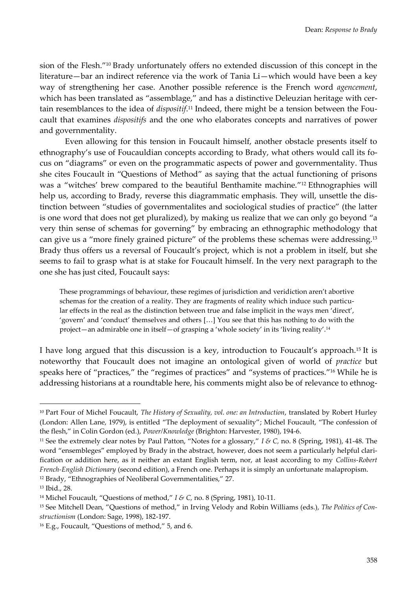sion of the Flesh."<sup>10</sup> Brady unfortunately offers no extended discussion of this concept in the literature—bar an indirect reference via the work of Tania Li—which would have been a key way of strengthening her case. Another possible reference is the French word *agencement*, which has been translated as "assemblage," and has a distinctive Deleuzian heritage with certain resemblances to the idea of *dispositif*. <sup>11</sup> Indeed, there might be a tension between the Foucault that examines *dispositifs* and the one who elaborates concepts and narratives of power and governmentality.

Even allowing for this tension in Foucault himself, another obstacle presents itself to ethnography's use of Foucauldian concepts according to Brady, what others would call its focus on "diagrams" or even on the programmatic aspects of power and governmentality. Thus she cites Foucault in "Questions of Method" as saying that the actual functioning of prisons was a "witches' brew compared to the beautiful Benthamite machine." <sup>12</sup> Ethnographies will help us, according to Brady, reverse this diagrammatic emphasis. They will, unsettle the distinction between "studies of governmentalites and sociological studies of practice" (the latter is one word that does not get pluralized), by making us realize that we can only go beyond "a very thin sense of schemas for governing" by embracing an ethnographic methodology that can give us a "more finely grained picture" of the problems these schemas were addressing.<sup>13</sup> Brady thus offers us a reversal of Foucault's project, which is not a problem in itself, but she seems to fail to grasp what is at stake for Foucault himself. In the very next paragraph to the one she has just cited, Foucault says:

These programmings of behaviour, these regimes of jurisdiction and veridiction aren't abortive schemas for the creation of a reality. They are fragments of reality which induce such particular effects in the real as the distinction between true and false implicit in the ways men 'direct', 'govern' and 'conduct' themselves and others […] You see that this has nothing to do with the project—an admirable one in itself—of grasping a 'whole society' in its 'living reality'.<sup>14</sup>

I have long argued that this discussion is a key, introduction to Foucault's approach.<sup>15</sup> It is noteworthy that Foucault does not imagine an ontological given of world of *practice* but speaks here of "practices," the "regimes of practices" and "systems of practices." <sup>16</sup> While he is addressing historians at a roundtable here, his comments might also be of relevance to ethnog-

<sup>10</sup> Part Four of Michel Foucault, *The History of Sexuality, vol. one: an Introduction*, translated by Robert Hurley (London: Allen Lane, 1979), is entitled "The deployment of sexuality"; Michel Foucault, "The confession of the flesh," in Colin Gordon (ed.), *Power/Knowledge* (Brighton: Harvester, 1980), 194-6.

<sup>11</sup> See the extremely clear notes by Paul Patton, "Notes for a glossary," *I & C,* no. 8 (Spring, 1981), 41-48. The word "ensembleges" employed by Brady in the abstract, however, does not seem a particularly helpful clarification or addition here, as it neither an extant English term, nor, at least according to my *Collins-Robert French-English Dictionary* (second edition), a French one. Perhaps it is simply an unfortunate malapropism. <sup>12</sup> Brady, "Ethnographies of Neoliberal Governmentalities," 27.

<sup>13</sup> Ibid., 28.

<sup>14</sup> Michel Foucault, "Questions of method," *I & C,* no. 8 (Spring, 1981), 10-11.

<sup>15</sup> See Mitchell Dean, "Questions of method," in Irving Velody and Robin Williams (eds.), *The Politics of Constructionism* (London: Sage, 1998), 182-197.

<sup>16</sup> E.g., Foucault, "Questions of method," 5, and 6.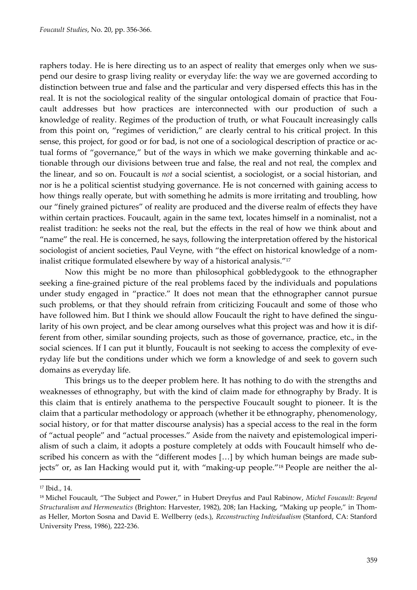raphers today. He is here directing us to an aspect of reality that emerges only when we suspend our desire to grasp living reality or everyday life: the way we are governed according to distinction between true and false and the particular and very dispersed effects this has in the real. It is not the sociological reality of the singular ontological domain of practice that Foucault addresses but how practices are interconnected with our production of such a knowledge of reality. Regimes of the production of truth, or what Foucault increasingly calls from this point on, "regimes of veridiction," are clearly central to his critical project. In this sense, this project, for good or for bad, is not one of a sociological description of practice or actual forms of "governance," but of the ways in which we make governing thinkable and actionable through our divisions between true and false, the real and not real, the complex and the linear, and so on. Foucault is *not* a social scientist, a sociologist, or a social historian, and nor is he a political scientist studying governance. He is not concerned with gaining access to how things really operate, but with something he admits is more irritating and troubling, how our "finely grained pictures" of reality are produced and the diverse realm of effects they have within certain practices. Foucault, again in the same text, locates himself in a nominalist, not a realist tradition: he seeks not the real, but the effects in the real of how we think about and "name" the real. He is concerned, he says, following the interpretation offered by the historical sociologist of ancient societies, Paul Veyne, with "the effect on historical knowledge of a nominalist critique formulated elsewhere by way of a historical analysis." 17

Now this might be no more than philosophical gobbledygook to the ethnographer seeking a fine-grained picture of the real problems faced by the individuals and populations under study engaged in "practice." It does not mean that the ethnographer cannot pursue such problems, or that they should refrain from criticizing Foucault and some of those who have followed him. But I think we should allow Foucault the right to have defined the singularity of his own project, and be clear among ourselves what this project was and how it is different from other, similar sounding projects, such as those of governance, practice, etc., in the social sciences. If I can put it bluntly, Foucault is not seeking to access the complexity of everyday life but the conditions under which we form a knowledge of and seek to govern such domains as everyday life.

This brings us to the deeper problem here. It has nothing to do with the strengths and weaknesses of ethnography, but with the kind of claim made for ethnography by Brady. It is this claim that is entirely anathema to the perspective Foucault sought to pioneer. It is the claim that a particular methodology or approach (whether it be ethnography, phenomenology, social history, or for that matter discourse analysis) has a special access to the real in the form of "actual people" and "actual processes." Aside from the naivety and epistemological imperialism of such a claim, it adopts a posture completely at odds with Foucault himself who described his concern as with the "different modes […] by which human beings are made subjects" or, as Ian Hacking would put it, with "making-up people."<sup>18</sup> People are neither the al-

<sup>17</sup> Ibid., 14.

<sup>18</sup> Michel Foucault, "The Subject and Power," in Hubert Dreyfus and Paul Rabinow, *Michel Foucault: Beyond Structuralism and Hermeneutics* (Brighton: Harvester, 1982), 208; Ian Hacking, "Making up people," in Thomas Heller, Morton Sosna and David E. Wellberry (eds.), *Reconstructing Individualism* (Stanford, CA: Stanford University Press, 1986), 222-236.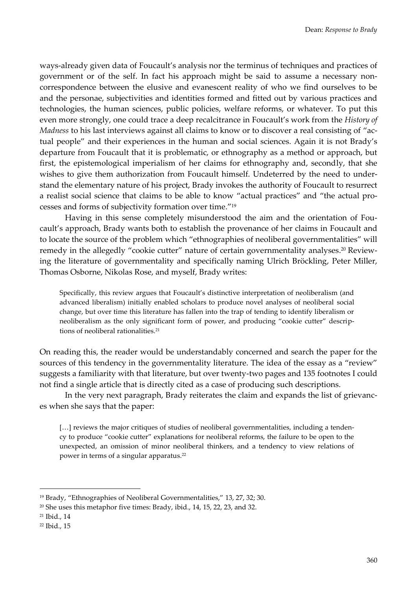ways-already given data of Foucault's analysis nor the terminus of techniques and practices of government or of the self. In fact his approach might be said to assume a necessary noncorrespondence between the elusive and evanescent reality of who we find ourselves to be and the personae, subjectivities and identities formed and fitted out by various practices and technologies, the human sciences, public policies, welfare reforms, or whatever. To put this even more strongly, one could trace a deep recalcitrance in Foucault's work from the *History of Madness* to his last interviews against all claims to know or to discover a real consisting of "actual people" and their experiences in the human and social sciences. Again it is not Brady's departure from Foucault that it is problematic, or ethnography as a method or approach, but first, the epistemological imperialism of her claims for ethnography and, secondly, that she wishes to give them authorization from Foucault himself. Undeterred by the need to understand the elementary nature of his project, Brady invokes the authority of Foucault to resurrect a realist social science that claims to be able to know "actual practices" and "the actual processes and forms of subjectivity formation over time." 19

Having in this sense completely misunderstood the aim and the orientation of Foucault's approach, Brady wants both to establish the provenance of her claims in Foucault and to locate the source of the problem which "ethnographies of neoliberal governmentalities" will remedy in the allegedly "cookie cutter" nature of certain governmentality analyses. <sup>20</sup> Reviewing the literature of governmentality and specifically naming Ulrich Bröckling, Peter Miller, Thomas Osborne, Nikolas Rose, and myself, Brady writes:

Specifically, this review argues that Foucault's distinctive interpretation of neoliberalism (and advanced liberalism) initially enabled scholars to produce novel analyses of neoliberal social change, but over time this literature has fallen into the trap of tending to identify liberalism or neoliberalism as the only significant form of power, and producing "cookie cutter" descriptions of neoliberal rationalities.<sup>21</sup>

On reading this, the reader would be understandably concerned and search the paper for the sources of this tendency in the governmentality literature. The idea of the essay as a "review" suggests a familiarity with that literature, but over twenty-two pages and 135 footnotes I could not find a single article that is directly cited as a case of producing such descriptions.

In the very next paragraph, Brady reiterates the claim and expands the list of grievances when she says that the paper:

[...] reviews the major critiques of studies of neoliberal governmentalities, including a tendency to produce "cookie cutter" explanations for neoliberal reforms, the failure to be open to the unexpected, an omission of minor neoliberal thinkers, and a tendency to view relations of power in terms of a singular apparatus.<sup>22</sup>

<sup>19</sup> Brady, "Ethnographies of Neoliberal Governmentalities," 13, 27, 32; 30.

 $20$  She uses this metaphor five times: Brady, ibid., 14, 15, 22, 23, and 32.

<sup>21</sup> Ibid., 14

<sup>22</sup> Ibid., 15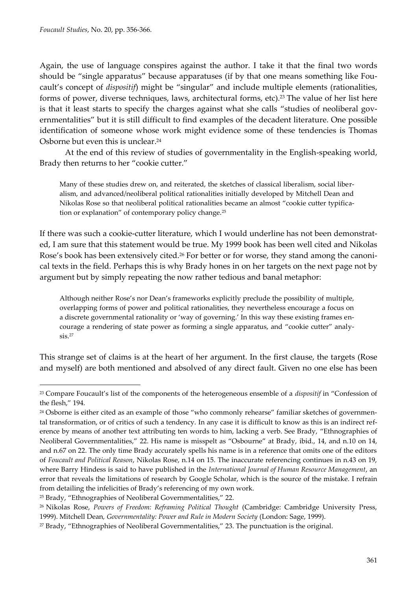Again, the use of language conspires against the author. I take it that the final two words should be "single apparatus" because apparatuses (if by that one means something like Foucault's concept of *dispositif*) might be "singular" and include multiple elements (rationalities, forms of power, diverse techniques, laws, architectural forms, etc). <sup>23</sup> The value of her list here is that it least starts to specify the charges against what she calls "studies of neoliberal governmentalities" but it is still difficult to find examples of the decadent literature. One possible identification of someone whose work might evidence some of these tendencies is Thomas Osborne but even this is unclear. 24

At the end of this review of studies of governmentality in the English-speaking world, Brady then returns to her "cookie cutter."

Many of these studies drew on, and reiterated, the sketches of classical liberalism, social liberalism, and advanced/neoliberal political rationalities initially developed by Mitchell Dean and Nikolas Rose so that neoliberal political rationalities became an almost "cookie cutter typification or explanation" of contemporary policy change.<sup>25</sup>

If there was such a cookie-cutter literature, which I would underline has not been demonstrated, I am sure that this statement would be true. My 1999 book has been well cited and Nikolas Rose's book has been extensively cited.<sup>26</sup> For better or for worse, they stand among the canonical texts in the field. Perhaps this is why Brady hones in on her targets on the next page not by argument but by simply repeating the now rather tedious and banal metaphor:

Although neither Rose's nor Dean's frameworks explicitly preclude the possibility of multiple, overlapping forms of power and political rationalities, they nevertheless encourage a focus on a discrete governmental rationality or 'way of governing.' In this way these existing frames encourage a rendering of state power as forming a single apparatus, and "cookie cutter" analy $sis.<sup>27</sup>$ 

This strange set of claims is at the heart of her argument. In the first clause, the targets (Rose and myself) are both mentioned and absolved of any direct fault. Given no one else has been

<sup>23</sup> Compare Foucault's list of the components of the heterogeneous ensemble of a *dispositif* in "Confession of the flesh," 194.

<sup>&</sup>lt;sup>24</sup> Osborne is either cited as an example of those "who commonly rehearse" familiar sketches of governmental transformation, or of critics of such a tendency. In any case it is difficult to know as this is an indirect reference by means of another text attributing ten words to him, lacking a verb. See Brady, "Ethnographies of Neoliberal Governmentalities," 22. His name is misspelt as "Osbourne" at Brady, ibid., 14, and n.10 on 14, and n.67 on 22. The only time Brady accurately spells his name is in a reference that omits one of the editors of *Foucault and Political Reason*, Nikolas Rose, n.14 on 15. The inaccurate referencing continues in n.43 on 19, where Barry Hindess is said to have published in the *International Journal of Human Resource Management*, an error that reveals the limitations of research by Google Scholar, which is the source of the mistake. I refrain from detailing the infelicities of Brady's referencing of my own work.

<sup>25</sup> Brady, "Ethnographies of Neoliberal Governmentalities," 22.

<sup>26</sup> Nikolas Rose, *Powers of Freedom: Reframing Political Thought* (Cambridge: Cambridge University Press, 1999). Mitchell Dean*, Governmentality: Power and Rule in Modern Society* (London: Sage, 1999).

<sup>27</sup> Brady, "Ethnographies of Neoliberal Governmentalities," 23. The punctuation is the original.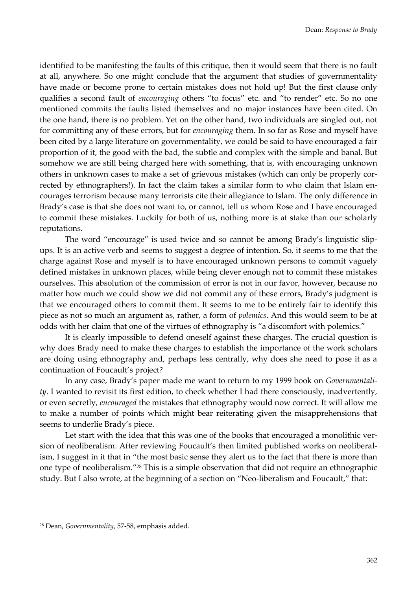identified to be manifesting the faults of this critique, then it would seem that there is no fault at all, anywhere. So one might conclude that the argument that studies of governmentality have made or become prone to certain mistakes does not hold up! But the first clause only qualifies a second fault of *encouraging* others "to focus" etc. and "to render" etc. So no one mentioned commits the faults listed themselves and no major instances have been cited. On the one hand, there is no problem. Yet on the other hand, two individuals are singled out, not for committing any of these errors, but for *encouraging* them. In so far as Rose and myself have been cited by a large literature on governmentality, we could be said to have encouraged a fair proportion of it, the good with the bad, the subtle and complex with the simple and banal. But somehow we are still being charged here with something, that is, with encouraging unknown others in unknown cases to make a set of grievous mistakes (which can only be properly corrected by ethnographers!). In fact the claim takes a similar form to who claim that Islam encourages terrorism because many terrorists cite their allegiance to Islam. The only difference in Brady's case is that she does not want to, or cannot, tell us whom Rose and I have encouraged to commit these mistakes. Luckily for both of us, nothing more is at stake than our scholarly reputations.

The word "encourage" is used twice and so cannot be among Brady's linguistic slipups. It is an active verb and seems to suggest a degree of intention. So, it seems to me that the charge against Rose and myself is to have encouraged unknown persons to commit vaguely defined mistakes in unknown places, while being clever enough not to commit these mistakes ourselves. This absolution of the commission of error is not in our favor, however, because no matter how much we could show we did not commit any of these errors, Brady's judgment is that we encouraged others to commit them. It seems to me to be entirely fair to identify this piece as not so much an argument as, rather, a form of *polemics*. And this would seem to be at odds with her claim that one of the virtues of ethnography is "a discomfort with polemics."

It is clearly impossible to defend oneself against these charges. The crucial question is why does Brady need to make these charges to establish the importance of the work scholars are doing using ethnography and, perhaps less centrally, why does she need to pose it as a continuation of Foucault's project?

In any case, Brady's paper made me want to return to my 1999 book on *Governmentality*. I wanted to revisit its first edition, to check whether I had there consciously, inadvertently, or even secretly, *encouraged* the mistakes that ethnography would now correct. It will allow me to make a number of points which might bear reiterating given the misapprehensions that seems to underlie Brady's piece.

Let start with the idea that this was one of the books that encouraged a monolithic version of neoliberalism. After reviewing Foucault's then limited published works on neoliberalism, I suggest in it that in "the most basic sense they alert us to the fact that there is more than one type of neoliberalism."<sup>28</sup> This is a simple observation that did not require an ethnographic study. But I also wrote, at the beginning of a section on "Neo-liberalism and Foucault," that:

<sup>28</sup> Dean, *Governmentality*, 57-58, emphasis added.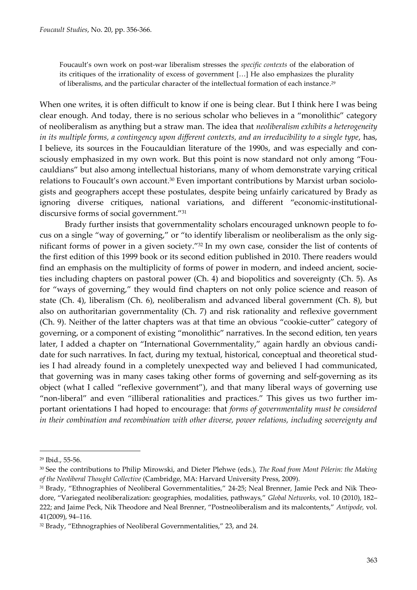Foucault's own work on post-war liberalism stresses the *specific contexts* of the elaboration of its critiques of the irrationality of excess of government […] He also emphasizes the plurality of liberalisms, and the particular character of the intellectual formation of each instance.<sup>29</sup>

When one writes, it is often difficult to know if one is being clear. But I think here I was being clear enough. And today, there is no serious scholar who believes in a "monolithic" category of neoliberalism as anything but a straw man. The idea that *neoliberalism exhibits a heterogeneity in its multiple forms, a contingency upon different contexts, and an irreducibility to a single type*, has, I believe, its sources in the Foucauldian literature of the 1990s, and was especially and consciously emphasized in my own work. But this point is now standard not only among "Foucauldians" but also among intellectual historians, many of whom demonstrate varying critical relations to Foucault's own account. <sup>30</sup> Even important contributions by Marxist urban sociologists and geographers accept these postulates, despite being unfairly caricatured by Brady as ignoring diverse critiques, national variations, and different "economic-institutionaldiscursive forms of social government."<sup>31</sup>

Brady further insists that governmentality scholars encouraged unknown people to focus on a single "way of governing," or "to identify liberalism or neoliberalism as the only significant forms of power in a given society."<sup>32</sup> In my own case, consider the list of contents of the first edition of this 1999 book or its second edition published in 2010. There readers would find an emphasis on the multiplicity of forms of power in modern, and indeed ancient, societies including chapters on pastoral power (Ch. 4) and biopolitics and sovereignty (Ch. 5). As for "ways of governing," they would find chapters on not only police science and reason of state (Ch. 4), liberalism (Ch. 6), neoliberalism and advanced liberal government (Ch. 8), but also on authoritarian governmentality (Ch. 7) and risk rationality and reflexive government (Ch. 9). Neither of the latter chapters was at that time an obvious "cookie-cutter" category of governing, or a component of existing "monolithic" narratives. In the second edition, ten years later, I added a chapter on "International Governmentality," again hardly an obvious candidate for such narratives. In fact, during my textual, historical, conceptual and theoretical studies I had already found in a completely unexpected way and believed I had communicated, that governing was in many cases taking other forms of governing and self-governing as its object (what I called "reflexive government"), and that many liberal ways of governing use "non-liberal" and even "illiberal rationalities and practices." This gives us two further important orientations I had hoped to encourage: that *forms of governmentality must be considered in their combination and recombination with other diverse, power relations, including sovereignty and* 

<sup>29</sup> Ibid., 55-56.

<sup>30</sup> See the contributions to Philip Mirowski, and Dieter Plehwe (eds.), *The Road from Mont Pèlerin: the Making of the Neoliberal Thought Collective* (Cambridge, MA: Harvard University Press, 2009).

<sup>31</sup> Brady, "Ethnographies of Neoliberal Governmentalities," 24-25; Neal Brenner, Jamie Peck and Nik Theodore, "Variegated neoliberalization: geographies, modalities, pathways," *Global Networks,* vol. 10 (2010), 182– 222; and Jaime Peck, Nik Theodore and Neal Brenner, "Postneoliberalism and its malcontents," *Antipode,* vol. 41(2009), 94–116.

<sup>32</sup> Brady, "Ethnographies of Neoliberal Governmentalities," 23, and 24.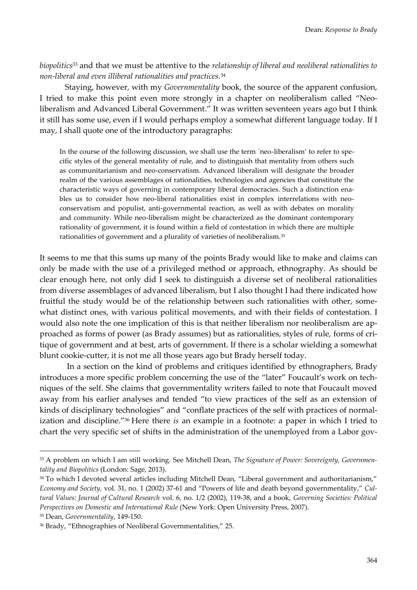*biopolitics*<sup>33</sup> and that we must be attentive to the *relationship of liberal and neoliberal rationalities to non-liberal and even illiberal rationalities and practices*. 34

Staying, however, with my *Governmentality* book, the source of the apparent confusion, I tried to make this point even more strongly in a chapter on neoliberalism called "Neoliberalism and Advanced Liberal Government." It was written seventeen years ago but I think it still has some use, even if I would perhaps employ a somewhat different language today. If I may, I shall quote one of the introductory paragraphs:

In the course of the following discussion, we shall use the term ´neo-liberalism' to refer to specific styles of the general mentality of rule, and to distinguish that mentality from others such as communitarianism and neo-conservatism. Advanced liberalism will designate the broader realm of the various assemblages of rationalities, technologies and agencies that constitute the characteristic ways of governing in contemporary liberal democracies. Such a distinction enables us to consider how neo-liberal rationalities exist in complex interrelations with neoconservatism and populist, anti-governmental reaction, as well as with debates on morality and community. While neo-liberalism might be characterized as the dominant contemporary rationality of government, it is found within a field of contestation in which there are multiple rationalities of government and a plurality of varieties of neoliberalism.<sup>35</sup>

It seems to me that this sums up many of the points Brady would like to make and claims can only be made with the use of a privileged method or approach, ethnography. As should be clear enough here, not only did I seek to distinguish a diverse set of neoliberal rationalities from diverse assemblages of advanced liberalism, but I also thought I had there indicated how fruitful the study would be of the relationship between such rationalities with other, somewhat distinct ones, with various political movements, and with their fields of contestation. I would also note the one implication of this is that neither liberalism nor neoliberalism are approached as forms of power (as Brady assumes) but as rationalities, styles of rule, forms of critique of government and at best, arts of government. If there is a scholar wielding a somewhat blunt cookie-cutter, it is not me all those years ago but Brady herself today.

In a section on the kind of problems and critiques identified by ethnographers, Brady introduces a more specific problem concerning the use of the "later" Foucault's work on techniques of the self. She claims that governmentality writers failed to note that Foucault moved away from his earlier analyses and tended "to view practices of the self as an extension of kinds of disciplinary technologies" and "conflate practices of the self with practices of normalization and discipline." <sup>36</sup> Here there *is* an example in a footnote: a paper in which I tried to chart the very specific set of shifts in the administration of the unemployed from a Labor gov-

<sup>33</sup> A problem on which I am still working. See Mitchell Dean, *The Signature of Power: Sovereignty, Governmentality and Biopolitics* (London: Sage, 2013).

<sup>34</sup> To which I devoted several articles including Mitchell Dean, "Liberal government and authoritarianism," *Economy and Society,* vol. 31, no. 1 (2002) 37-61 and "Powers of life and death beyond governmentality," *Cultural Values: Journal of Cultural Research* vol. 6, no. 1/2 (2002), 119-38, and a book, *Governing Societies: Political Perspectives on Domestic and International Rule* (New York: Open University Press, 2007). <sup>35</sup> Dean, *Governmentality*, 149-150.

<sup>36</sup> Brady, "Ethnographies of Neoliberal Governmentalities," 25.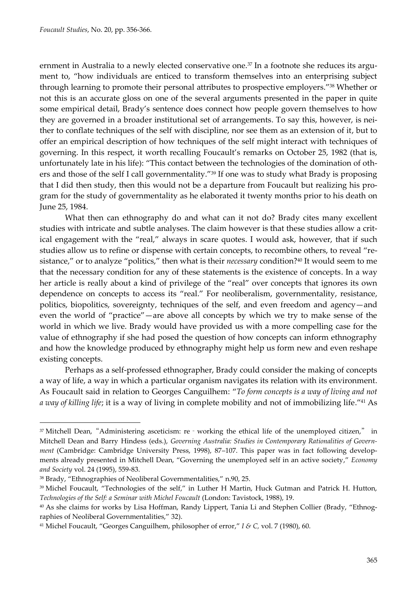ernment in Australia to a newly elected conservative one.<sup>37</sup> In a footnote she reduces its argument to, "how individuals are enticed to transform themselves into an enterprising subject through learning to promote their personal attributes to prospective employers." <sup>38</sup> Whether or not this is an accurate gloss on one of the several arguments presented in the paper in quite some empirical detail, Brady's sentence does connect how people govern themselves to how they are governed in a broader institutional set of arrangements. To say this, however, is neither to conflate techniques of the self with discipline, nor see them as an extension of it, but to offer an empirical description of how techniques of the self might interact with techniques of governing. In this respect, it worth recalling Foucault's remarks on October 25, 1982 (that is, unfortunately late in his life): "This contact between the technologies of the domination of others and those of the self I call governmentality."<sup>39</sup> If one was to study what Brady is proposing that I did then study, then this would not be a departure from Foucault but realizing his program for the study of governmentality as he elaborated it twenty months prior to his death on June 25, 1984.

What then can ethnography do and what can it not do? Brady cites many excellent studies with intricate and subtle analyses. The claim however is that these studies allow a critical engagement with the "real," always in scare quotes. I would ask, however, that if such studies allow us to refine or dispense with certain concepts, to recombine others, to reveal "resistance," or to analyze "politics," then what is their *necessary* condition? <sup>40</sup> It would seem to me that the necessary condition for any of these statements is the existence of concepts. In a way her article is really about a kind of privilege of the "real" over concepts that ignores its own dependence on concepts to access its "real." For neoliberalism, governmentality, resistance, politics, biopolitics, sovereignty, techniques of the self, and even freedom and agency—and even the world of "practice"—are above all concepts by which we try to make sense of the world in which we live. Brady would have provided us with a more compelling case for the value of ethnography if she had posed the question of how concepts can inform ethnography and how the knowledge produced by ethnography might help us form new and even reshape existing concepts.

Perhaps as a self-professed ethnographer, Brady could consider the making of concepts a way of life, a way in which a particular organism navigates its relation with its environment. As Foucault said in relation to Georges Canguilhem: "*To form concepts is a way of living and not a way of killing life*; it is a way of living in complete mobility and not of immobilizing life."<sup>41</sup> As

<sup>&</sup>lt;sup>37</sup> Mitchell Dean, "Administering asceticism: re‐working the ethical life of the unemployed citizen," in Mitchell Dean and Barry Hindess (eds.), *Governing Australia: Studies in Contemporary Rationalities of Government* (Cambridge: Cambridge University Press, 1998), 87–107. This paper was in fact following developments already presented in Mitchell Dean, "Governing the unemployed self in an active society," *Economy and Society* vol. 24 (1995), 559-83.

<sup>38</sup> Brady, "Ethnographies of Neoliberal Governmentalities," n.90, 25.

<sup>&</sup>lt;sup>39</sup> Michel Foucault, "Technologies of the self," in Luther H Martin, Huck Gutman and Patrick H. Hutton, *Technologies of the Self: a Seminar with Michel Foucault* (London: Tavistock, 1988), 19.

<sup>40</sup> As she claims for works by Lisa Hoffman, Randy Lippert, Tania Li and Stephen Collier (Brady, "Ethnographies of Neoliberal Governmentalities," 32).

<sup>41</sup> Michel Foucault, "Georges Canguilhem, philosopher of error," *I & C,* vol. 7 (1980), 60.